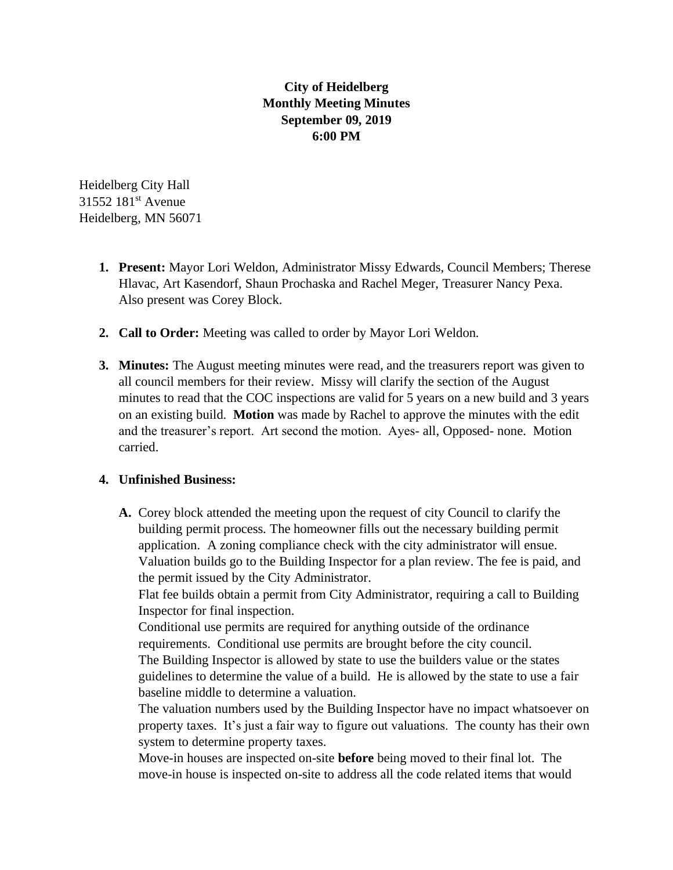## **City of Heidelberg Monthly Meeting Minutes September 09, 2019 6:00 PM**

Heidelberg City Hall 31552 181st Avenue Heidelberg, MN 56071

- **1. Present:** Mayor Lori Weldon, Administrator Missy Edwards, Council Members; Therese Hlavac, Art Kasendorf, Shaun Prochaska and Rachel Meger, Treasurer Nancy Pexa. Also present was Corey Block.
- **2. Call to Order:** Meeting was called to order by Mayor Lori Weldon.
- **3. Minutes:** The August meeting minutes were read, and the treasurers report was given to all council members for their review. Missy will clarify the section of the August minutes to read that the COC inspections are valid for 5 years on a new build and 3 years on an existing build. **Motion** was made by Rachel to approve the minutes with the edit and the treasurer's report. Art second the motion. Ayes- all, Opposed- none. Motion carried.

## **4. Unfinished Business:**

**A.** Corey block attended the meeting upon the request of city Council to clarify the building permit process. The homeowner fills out the necessary building permit application. A zoning compliance check with the city administrator will ensue. Valuation builds go to the Building Inspector for a plan review. The fee is paid, and the permit issued by the City Administrator.

Flat fee builds obtain a permit from City Administrator, requiring a call to Building Inspector for final inspection.

Conditional use permits are required for anything outside of the ordinance requirements. Conditional use permits are brought before the city council. The Building Inspector is allowed by state to use the builders value or the states guidelines to determine the value of a build. He is allowed by the state to use a fair baseline middle to determine a valuation.

The valuation numbers used by the Building Inspector have no impact whatsoever on property taxes. It's just a fair way to figure out valuations. The county has their own system to determine property taxes.

Move-in houses are inspected on-site **before** being moved to their final lot. The move-in house is inspected on-site to address all the code related items that would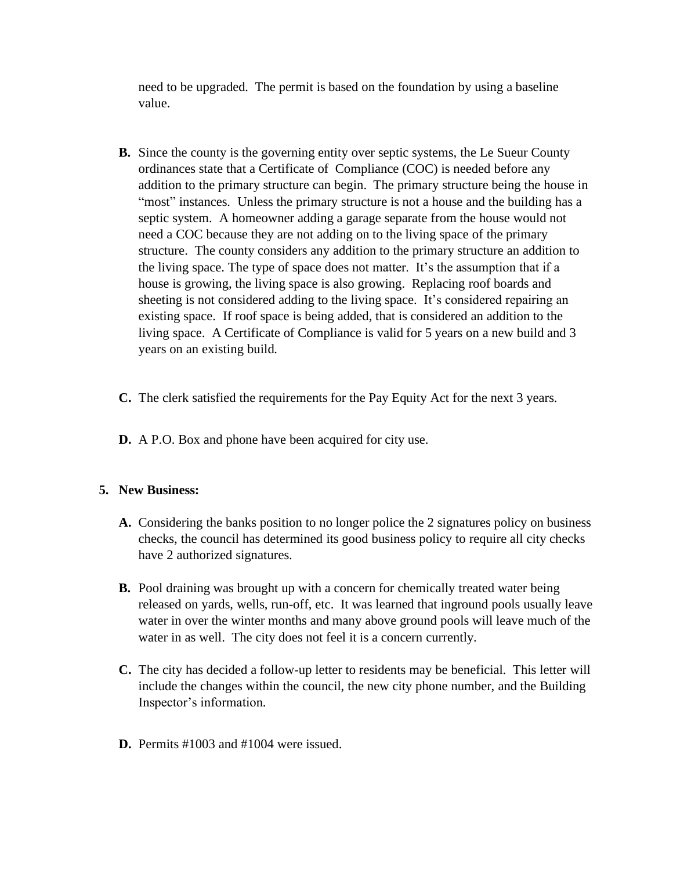need to be upgraded. The permit is based on the foundation by using a baseline value.

- **B.** Since the county is the governing entity over septic systems, the Le Sueur County ordinances state that a Certificate of Compliance (COC) is needed before any addition to the primary structure can begin. The primary structure being the house in "most" instances. Unless the primary structure is not a house and the building has a septic system. A homeowner adding a garage separate from the house would not need a COC because they are not adding on to the living space of the primary structure. The county considers any addition to the primary structure an addition to the living space. The type of space does not matter. It's the assumption that if a house is growing, the living space is also growing. Replacing roof boards and sheeting is not considered adding to the living space. It's considered repairing an existing space. If roof space is being added, that is considered an addition to the living space. A Certificate of Compliance is valid for 5 years on a new build and 3 years on an existing build.
- **C.** The clerk satisfied the requirements for the Pay Equity Act for the next 3 years.
- **D.** A P.O. Box and phone have been acquired for city use.

## **5. New Business:**

- **A.** Considering the banks position to no longer police the 2 signatures policy on business checks, the council has determined its good business policy to require all city checks have 2 authorized signatures.
- **B.** Pool draining was brought up with a concern for chemically treated water being released on yards, wells, run-off, etc. It was learned that inground pools usually leave water in over the winter months and many above ground pools will leave much of the water in as well. The city does not feel it is a concern currently.
- **C.** The city has decided a follow-up letter to residents may be beneficial. This letter will include the changes within the council, the new city phone number, and the Building Inspector's information.
- **D.** Permits #1003 and #1004 were issued.